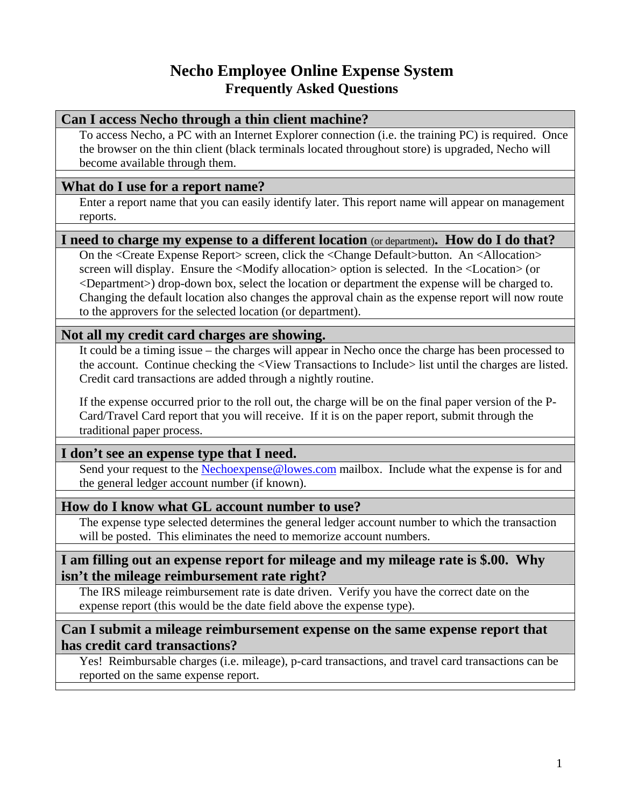# **Necho Employee Online Expense System Frequently Asked Questions**

#### **Can I access Necho through a thin client machine?**

To access Necho, a PC with an Internet Explorer connection (i.e. the training PC) is required. Once the browser on the thin client (black terminals located throughout store) is upgraded, Necho will become available through them.

### **What do I use for a report name?**

Enter a report name that you can easily identify later. This report name will appear on management reports.

### **I need to charge my expense to a different location** (or department)**. How do I do that?**

On the <Create Expense Report> screen, click the <Change Default>button. An <Allocation> screen will display. Ensure the <Modify allocation> option is selected. In the <Location> (or <Department>) drop-down box, select the location or department the expense will be charged to. Changing the default location also changes the approval chain as the expense report will now route to the approvers for the selected location (or department).

### **Not all my credit card charges are showing.**

It could be a timing issue – the charges will appear in Necho once the charge has been processed to the account. Continue checking the <View Transactions to Include> list until the charges are listed. Credit card transactions are added through a nightly routine.

If the expense occurred prior to the roll out, the charge will be on the final paper version of the P-Card/Travel Card report that you will receive. If it is on the paper report, submit through the traditional paper process.

## **I don't see an expense type that I need.**

Send your request to the Nechoexpense@lowes.com mailbox. Include what the expense is for and the general ledger account number (if known).

## **How do I know what GL account number to use?**

The expense type selected determines the general ledger account number to which the transaction will be posted. This eliminates the need to memorize account numbers.

#### **I am filling out an expense report for mileage and my mileage rate is \$.00. Why isn't the mileage reimbursement rate right?**

The IRS mileage reimbursement rate is date driven. Verify you have the correct date on the expense report (this would be the date field above the expense type).

### **Can I submit a mileage reimbursement expense on the same expense report that has credit card transactions?**

Yes! Reimbursable charges (i.e. mileage), p-card transactions, and travel card transactions can be reported on the same expense report.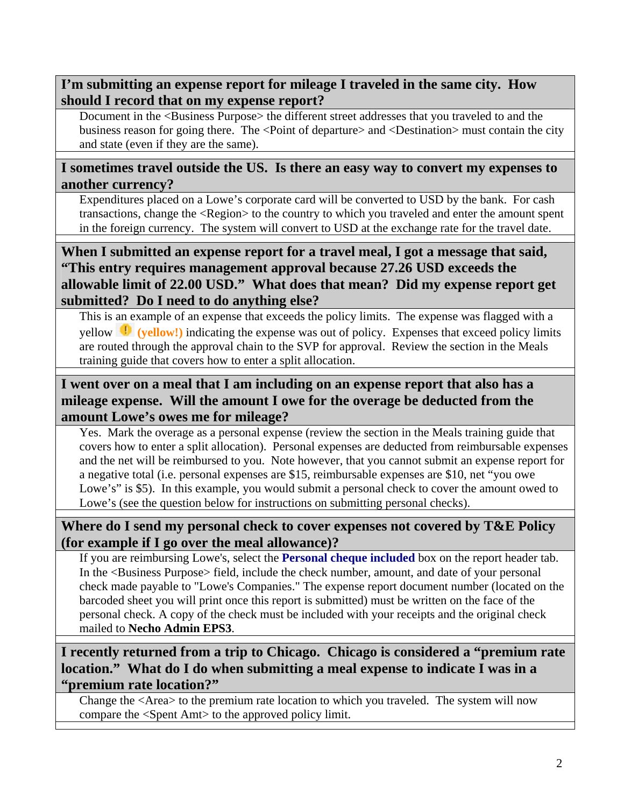## **I'm submitting an expense report for mileage I traveled in the same city. How should I record that on my expense report?**

Document in the <Business Purpose> the different street addresses that you traveled to and the business reason for going there. The <Point of departure> and <Destination> must contain the city and state (even if they are the same).

### **I sometimes travel outside the US. Is there an easy way to convert my expenses to another currency?**

Expenditures placed on a Lowe's corporate card will be converted to USD by the bank. For cash transactions, change the <Region> to the country to which you traveled and enter the amount spent in the foreign currency. The system will convert to USD at the exchange rate for the travel date.

## **When I submitted an expense report for a travel meal, I got a message that said, "This entry requires management approval because 27.26 USD exceeds the allowable limit of 22.00 USD." What does that mean? Did my expense report get submitted? Do I need to do anything else?**

This is an example of an expense that exceeds the policy limits. The expense was flagged with a yellow **(yellow!)** indicating the expense was out of policy. Expenses that exceed policy limits are routed through the approval chain to the SVP for approval. Review the section in the Meals training guide that covers how to enter a split allocation.

## **I went over on a meal that I am including on an expense report that also has a mileage expense. Will the amount I owe for the overage be deducted from the amount Lowe's owes me for mileage?**

Yes. Mark the overage as a personal expense (review the section in the Meals training guide that covers how to enter a split allocation). Personal expenses are deducted from reimbursable expenses and the net will be reimbursed to you. Note however, that you cannot submit an expense report for a negative total (i.e. personal expenses are \$15, reimbursable expenses are \$10, net "you owe Lowe's" is \$5). In this example, you would submit a personal check to cover the amount owed to Lowe's (see the question below for instructions on submitting personal checks).

## **Where do I send my personal check to cover expenses not covered by T&E Policy (for example if I go over the meal allowance)?**

If you are reimbursing Lowe's, select the **Personal cheque included** box on the report header tab. In the <Business Purpose> field, include the check number, amount, and date of your personal check made payable to "Lowe's Companies." The expense report document number (located on the barcoded sheet you will print once this report is submitted) must be written on the face of the personal check. A copy of the check must be included with your receipts and the original check mailed to **Necho Admin EPS3**.

## **I recently returned from a trip to Chicago. Chicago is considered a "premium rate location." What do I do when submitting a meal expense to indicate I was in a "premium rate location?"**

Change the <Area> to the premium rate location to which you traveled. The system will now compare the <Spent Amt> to the approved policy limit.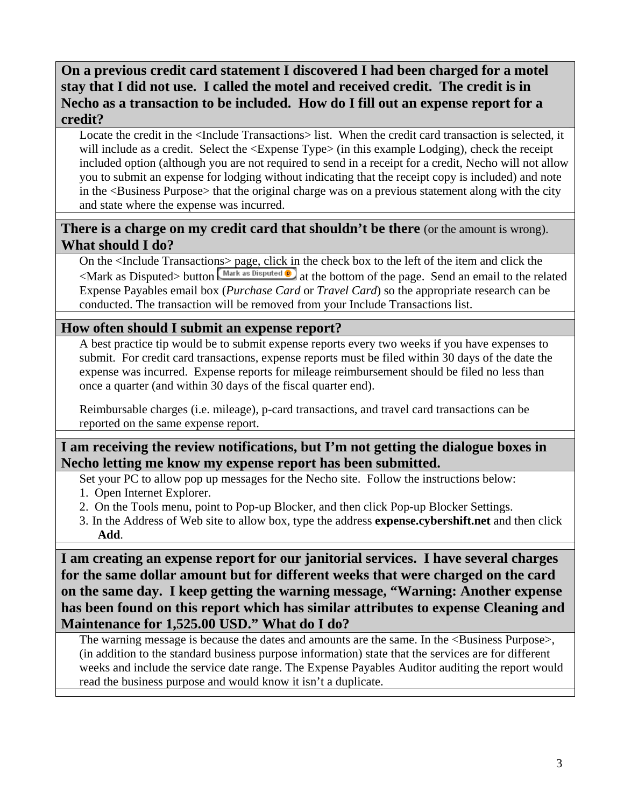## **On a previous credit card statement I discovered I had been charged for a motel stay that I did not use. I called the motel and received credit. The credit is in Necho as a transaction to be included. How do I fill out an expense report for a credit?**

Locate the credit in the <Include Transactions> list. When the credit card transaction is selected, it will include as a credit. Select the  $\leq$ Expense Type $>$  (in this example Lodging), check the receipt included option (although you are not required to send in a receipt for a credit, Necho will not allow you to submit an expense for lodging without indicating that the receipt copy is included) and note in the <Business Purpose> that the original charge was on a previous statement along with the city and state where the expense was incurred.

### **There is a charge on my credit card that shouldn't be there** (or the amount is wrong). **What should I do?**

On the <Include Transactions> page, click in the check box to the left of the item and click the  $\leq$ Mark as Disputed> button  $\sqrt{\frac{Mark \text{ as Disputed } \Phi}{n}}$  at the bottom of the page. Send an email to the related Expense Payables email box (*Purchase Card* or *Travel Card*) so the appropriate research can be conducted. The transaction will be removed from your Include Transactions list.

### **How often should I submit an expense report?**

A best practice tip would be to submit expense reports every two weeks if you have expenses to submit. For credit card transactions, expense reports must be filed within 30 days of the date the expense was incurred. Expense reports for mileage reimbursement should be filed no less than once a quarter (and within 30 days of the fiscal quarter end).

Reimbursable charges (i.e. mileage), p-card transactions, and travel card transactions can be reported on the same expense report.

## **I am receiving the review notifications, but I'm not getting the dialogue boxes in Necho letting me know my expense report has been submitted.**

Set your PC to allow pop up messages for the Necho site. Follow the instructions below:

- 1. Open Internet Explorer.
- 2. On the Tools menu, point to Pop-up Blocker, and then click Pop-up Blocker Settings.
- 3. In the Address of Web site to allow box, type the address **expense.cybershift.net** and then click **Add**.

**I am creating an expense report for our janitorial services. I have several charges for the same dollar amount but for different weeks that were charged on the card on the same day. I keep getting the warning message, "Warning: Another expense has been found on this report which has similar attributes to expense Cleaning and Maintenance for 1,525.00 USD." What do I do?** 

The warning message is because the dates and amounts are the same. In the <Business Purpose>, (in addition to the standard business purpose information) state that the services are for different weeks and include the service date range. The Expense Payables Auditor auditing the report would read the business purpose and would know it isn't a duplicate.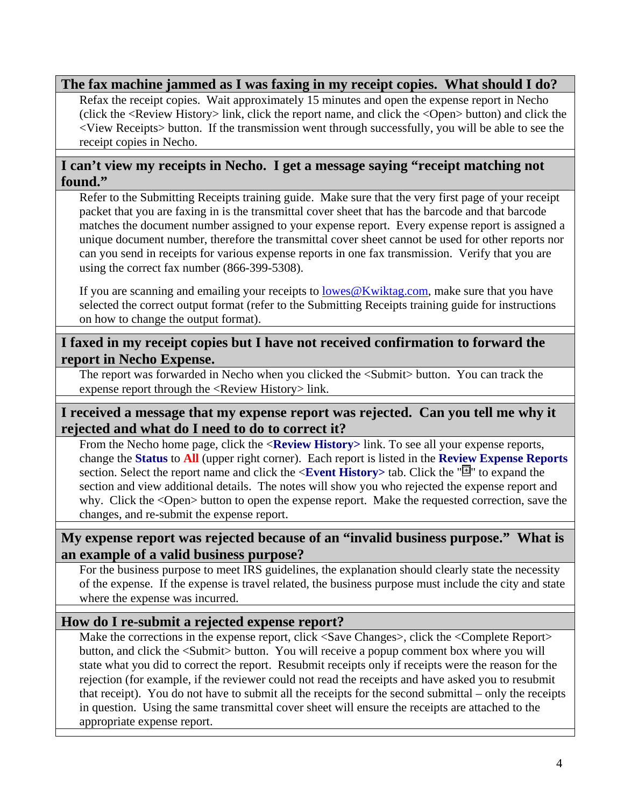### **The fax machine jammed as I was faxing in my receipt copies. What should I do?**

Refax the receipt copies. Wait approximately 15 minutes and open the expense report in Necho (click the <Review History> link, click the report name, and click the <Open> button) and click the <View Receipts> button. If the transmission went through successfully, you will be able to see the receipt copies in Necho.

### **I can't view my receipts in Necho. I get a message saying "receipt matching not found."**

Refer to the Submitting Receipts training guide. Make sure that the very first page of your receipt packet that you are faxing in is the transmittal cover sheet that has the barcode and that barcode matches the document number assigned to your expense report. Every expense report is assigned a unique document number, therefore the transmittal cover sheet cannot be used for other reports nor can you send in receipts for various expense reports in one fax transmission. Verify that you are using the correct fax number (866-399-5308).

If you are scanning and emailing your receipts to lowes@Kwiktag.com, make sure that you have selected the correct output format (refer to the Submitting Receipts training guide for instructions on how to change the output format).

### **I faxed in my receipt copies but I have not received confirmation to forward the report in Necho Expense.**

The report was forwarded in Necho when you clicked the <Submit> button. You can track the expense report through the <Review History> link.

### **I received a message that my expense report was rejected. Can you tell me why it rejected and what do I need to do to correct it?**

From the Necho home page, click the <**Review History>** link. To see all your expense reports, change the **Status** to **All** (upper right corner). Each report is listed in the **Review Expense Reports** section. Select the report name and click the <**Event History>** tab. Click the " " to expand the section and view additional details. The notes will show you who rejected the expense report and why. Click the <Open> button to open the expense report. Make the requested correction, save the changes, and re-submit the expense report.

### **My expense report was rejected because of an "invalid business purpose." What is an example of a valid business purpose?**

For the business purpose to meet IRS guidelines, the explanation should clearly state the necessity of the expense. If the expense is travel related, the business purpose must include the city and state where the expense was incurred.

## **How do I re-submit a rejected expense report?**

Make the corrections in the expense report, click <Save Changes>, click the <Complete Report> button, and click the <Submit> button. You will receive a popup comment box where you will state what you did to correct the report. Resubmit receipts only if receipts were the reason for the rejection (for example, if the reviewer could not read the receipts and have asked you to resubmit that receipt). You do not have to submit all the receipts for the second submittal – only the receipts in question. Using the same transmittal cover sheet will ensure the receipts are attached to the appropriate expense report.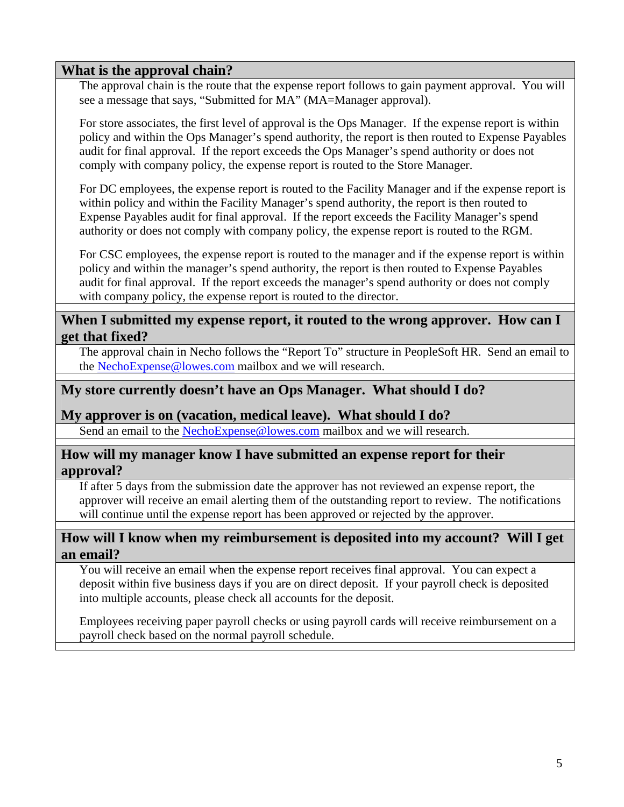#### **What is the approval chain?**

The approval chain is the route that the expense report follows to gain payment approval. You will see a message that says, "Submitted for MA" (MA=Manager approval).

For store associates, the first level of approval is the Ops Manager. If the expense report is within policy and within the Ops Manager's spend authority, the report is then routed to Expense Payables audit for final approval. If the report exceeds the Ops Manager's spend authority or does not comply with company policy, the expense report is routed to the Store Manager.

For DC employees, the expense report is routed to the Facility Manager and if the expense report is within policy and within the Facility Manager's spend authority, the report is then routed to Expense Payables audit for final approval. If the report exceeds the Facility Manager's spend authority or does not comply with company policy, the expense report is routed to the RGM.

For CSC employees, the expense report is routed to the manager and if the expense report is within policy and within the manager's spend authority, the report is then routed to Expense Payables audit for final approval. If the report exceeds the manager's spend authority or does not comply with company policy, the expense report is routed to the director.

#### **When I submitted my expense report, it routed to the wrong approver. How can I get that fixed?**

The approval chain in Necho follows the "Report To" structure in PeopleSoft HR. Send an email to the NechoExpense@lowes.com mailbox and we will research.

## **My store currently doesn't have an Ops Manager. What should I do?**

#### **My approver is on (vacation, medical leave). What should I do?**

Send an email to the NechoExpense@lowes.com mailbox and we will research.

#### **How will my manager know I have submitted an expense report for their approval?**

If after 5 days from the submission date the approver has not reviewed an expense report, the approver will receive an email alerting them of the outstanding report to review. The notifications will continue until the expense report has been approved or rejected by the approver.

#### **How will I know when my reimbursement is deposited into my account? Will I get an email?**

You will receive an email when the expense report receives final approval. You can expect a deposit within five business days if you are on direct deposit. If your payroll check is deposited into multiple accounts, please check all accounts for the deposit.

Employees receiving paper payroll checks or using payroll cards will receive reimbursement on a payroll check based on the normal payroll schedule.